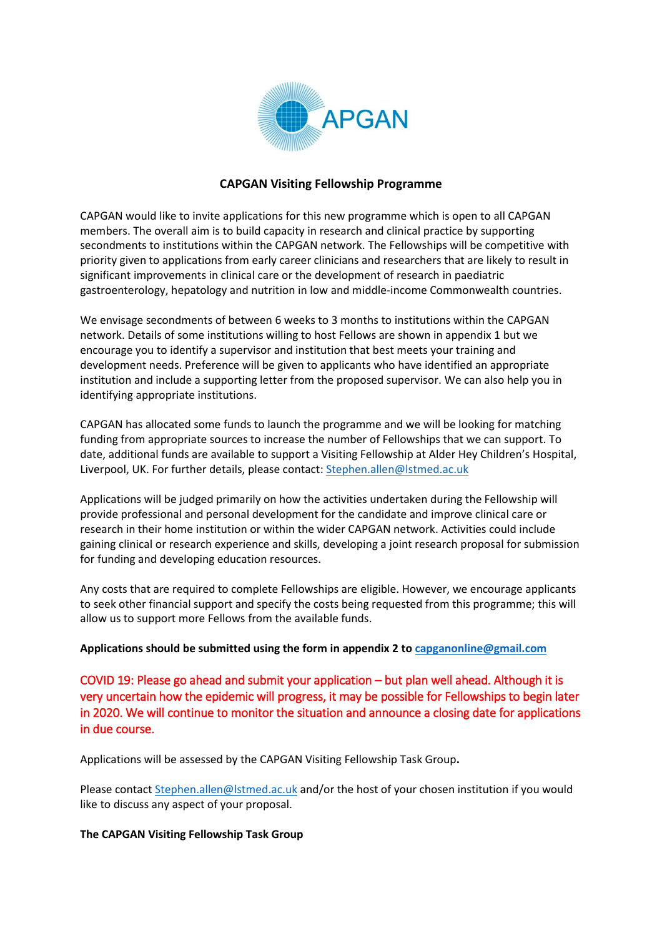

# **CAPGAN Visiting Fellowship Programme**

CAPGAN would like to invite applications for this new programme which is open to all CAPGAN members. The overall aim is to build capacity in research and clinical practice by supporting secondments to institutions within the CAPGAN network. The Fellowships will be competitive with priority given to applications from early career clinicians and researchers that are likely to result in significant improvements in clinical care or the development of research in paediatric gastroenterology, hepatology and nutrition in low and middle-income Commonwealth countries.

We envisage secondments of between 6 weeks to 3 months to institutions within the CAPGAN network. Details of some institutions willing to host Fellows are shown in appendix 1 but we encourage you to identify a supervisor and institution that best meets your training and development needs. Preference will be given to applicants who have identified an appropriate institution and include a supporting letter from the proposed supervisor. We can also help you in identifying appropriate institutions.

CAPGAN has allocated some funds to launch the programme and we will be looking for matching funding from appropriate sources to increase the number of Fellowships that we can support. To date, additional funds are available to support a Visiting Fellowship at Alder Hey Children's Hospital, Liverpool, UK. For further details, please contact: [Stephen.allen@lstmed.ac.uk](mailto:Stephen.allen@lstmed.ac.uk)

Applications will be judged primarily on how the activities undertaken during the Fellowship will provide professional and personal development for the candidate and improve clinical care or research in their home institution or within the wider CAPGAN network. Activities could include gaining clinical or research experience and skills, developing a joint research proposal for submission for funding and developing education resources.

Any costs that are required to complete Fellowships are eligible. However, we encourage applicants to seek other financial support and specify the costs being requested from this programme; this will allow us to support more Fellows from the available funds.

#### **Applications should be submitted using the form in appendix 2 to [capganonline@gmail.com](http://capganonline@gmail.com)**

COVID 19: Please go ahead and submit your application – but plan well ahead. Although it is very uncertain how the epidemic will progress, it may be possible for Fellowships to begin later in 2020. We will continue to monitor the situation and announce a closing date for applications in due course.

Applications will be assessed by the CAPGAN Visiting Fellowship Task Group**.** 

Please contact [Stephen.allen@lstmed.ac.uk](mailto:Stephen.allen@lstmed.ac.uk) and/or the host of your chosen institution if you would like to discuss any aspect of your proposal.

#### **The CAPGAN Visiting Fellowship Task Group**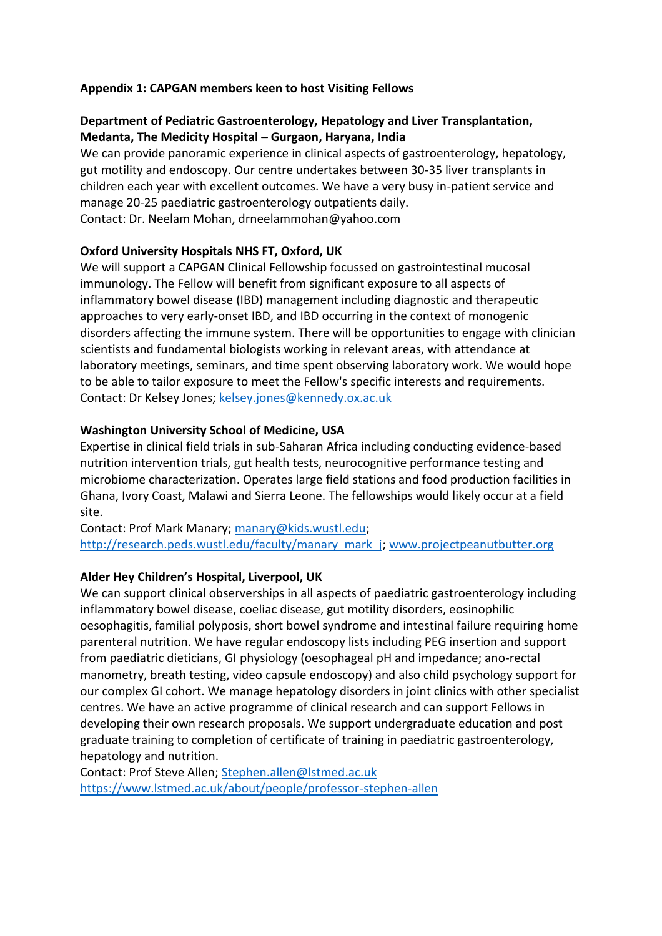# **Appendix 1: CAPGAN members keen to host Visiting Fellows**

# **Department of Pediatric Gastroenterology, Hepatology and Liver Transplantation, Medanta, The Medicity Hospital – Gurgaon, Haryana, India**

We can provide panoramic experience in clinical aspects of gastroenterology, hepatology, gut motility and endoscopy. Our centre undertakes between 30-35 liver transplants in children each year with excellent outcomes. We have a very busy in-patient service and manage 20-25 paediatric gastroenterology outpatients daily. Contact: Dr. Neelam Mohan, drneelammohan@yahoo.com

# **Oxford University Hospitals NHS FT, Oxford, UK**

We will support a CAPGAN Clinical Fellowship focussed on gastrointestinal mucosal immunology. The Fellow will benefit from significant exposure to all aspects of inflammatory bowel disease (IBD) management including diagnostic and therapeutic approaches to very early-onset IBD, and IBD occurring in the context of monogenic disorders affecting the immune system. There will be opportunities to engage with clinician scientists and fundamental biologists working in relevant areas, with attendance at laboratory meetings, seminars, and time spent observing laboratory work. We would hope to be able to tailor exposure to meet the Fellow's specific interests and requirements. Contact: Dr Kelsey Jones; [kelsey.jones@kennedy.ox.ac.uk](mailto:kelsey.jones@kennedy.ox.ac.uk)

# **Washington University School of Medicine, USA**

Expertise in clinical field trials in sub-Saharan Africa including conducting evidence-based nutrition intervention trials, gut health tests, neurocognitive performance testing and microbiome characterization. Operates large field stations and food production facilities in Ghana, Ivory Coast, Malawi and Sierra Leone. The fellowships would likely occur at a field site.

Contact: Prof Mark Manary; [manary@kids.wustl.edu;](mailto:manary@kids.wustl.edu) [http://research.peds.wustl.edu/faculty/manary\\_mark\\_j;](http://research.peds.wustl.edu/faculty/manary_mark_j) [www.projectpeanutbutter.org](https://protect-eu.mimecast.com/s/YUQjC7pm0iwBwPCkW5vO?domain=projectpeanutbutter.org)

# **Alder Hey Children's Hospital, Liverpool, UK**

We can support clinical observerships in all aspects of paediatric gastroenterology including inflammatory bowel disease, coeliac disease, gut motility disorders, eosinophilic oesophagitis, familial polyposis, short bowel syndrome and intestinal failure requiring home parenteral nutrition. We have regular endoscopy lists including PEG insertion and support from paediatric dieticians, GI physiology (oesophageal pH and impedance; ano-rectal manometry, breath testing, video capsule endoscopy) and also child psychology support for our complex GI cohort. We manage hepatology disorders in joint clinics with other specialist centres. We have an active programme of clinical research and can support Fellows in developing their own research proposals. We support undergraduate education and post graduate training to completion of certificate of training in paediatric gastroenterology, hepatology and nutrition.

Contact: Prof Steve Allen; [Stephen.allen@lstmed.ac.uk](mailto:Stephen.allen@lstmed.ac.uk) <https://www.lstmed.ac.uk/about/people/professor-stephen-allen>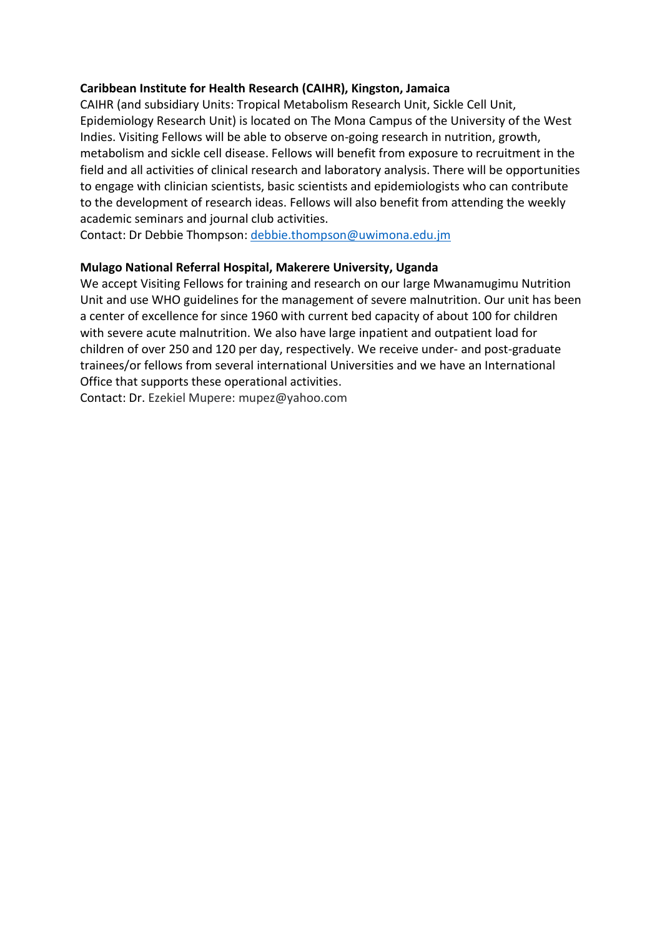# **Caribbean Institute for Health Research (CAIHR), Kingston, Jamaica**

CAIHR (and subsidiary Units: Tropical Metabolism Research Unit, Sickle Cell Unit, Epidemiology Research Unit) is located on The Mona Campus of the University of the West Indies. Visiting Fellows will be able to observe on-going research in nutrition, growth, metabolism and sickle cell disease. Fellows will benefit from exposure to recruitment in the field and all activities of clinical research and laboratory analysis. There will be opportunities to engage with clinician scientists, basic scientists and epidemiologists who can contribute to the development of research ideas. Fellows will also benefit from attending the weekly academic seminars and journal club activities.

Contact: Dr Debbie Thompson: [debbie.thompson@uwimona.edu.jm](mailto:debbie.thompson@uwimona.edu.jm)

# **Mulago National Referral Hospital, Makerere University, Uganda**

We accept Visiting Fellows for training and research on our large Mwanamugimu Nutrition Unit and use WHO guidelines for the management of severe malnutrition. Our unit has been a center of excellence for since 1960 with current bed capacity of about 100 for children with severe acute malnutrition. We also have large inpatient and outpatient load for children of over 250 and 120 per day, respectively. We receive under- and post-graduate trainees/or fellows from several international Universities and we have an International Office that supports these operational activities.

Contact: Dr. Ezekiel Mupere: mupez@yahoo.com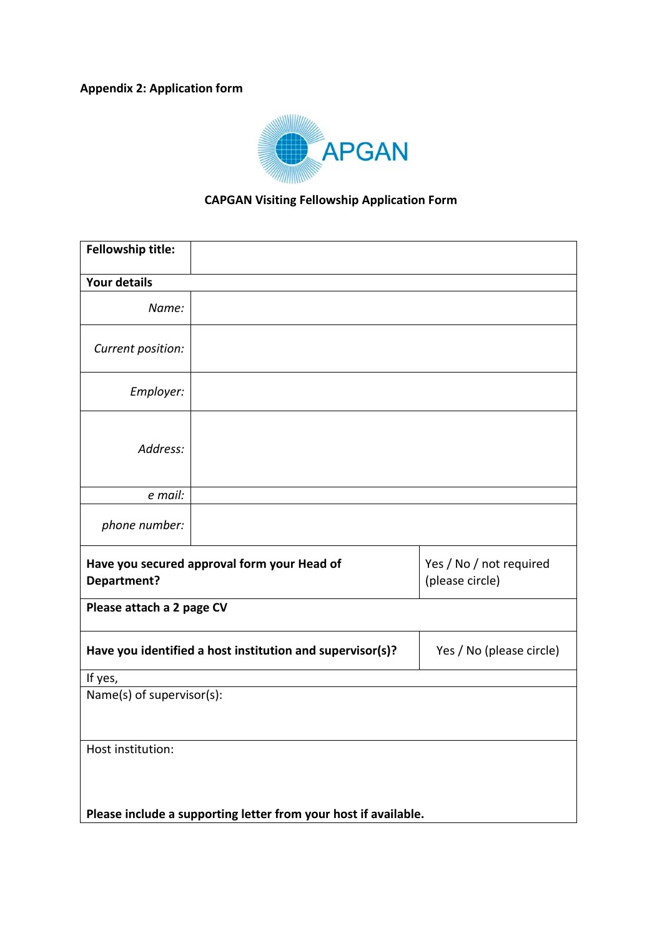# **Appendix 2: Application form**



# **CAPGAN Visiting Fellowship Application Form**

| Fellowship title:                                               |  |                                            |  |  |
|-----------------------------------------------------------------|--|--------------------------------------------|--|--|
| <b>Your details</b>                                             |  |                                            |  |  |
| Name:                                                           |  |                                            |  |  |
| Current position:                                               |  |                                            |  |  |
| Employer:                                                       |  |                                            |  |  |
| Address:                                                        |  |                                            |  |  |
| e mail:                                                         |  |                                            |  |  |
| phone number:                                                   |  |                                            |  |  |
| Have you secured approval form your Head of<br>Department?      |  | Yes / No / not required<br>(please circle) |  |  |
| Please attach a 2 page CV                                       |  |                                            |  |  |
| Have you identified a host institution and supervisor(s)?       |  | Yes / No (please circle)                   |  |  |
| If yes,                                                         |  |                                            |  |  |
| Name(s) of supervisor(s):                                       |  |                                            |  |  |
|                                                                 |  |                                            |  |  |
| Host institution:                                               |  |                                            |  |  |
|                                                                 |  |                                            |  |  |
|                                                                 |  |                                            |  |  |
| Please include a supporting letter from your host if available. |  |                                            |  |  |